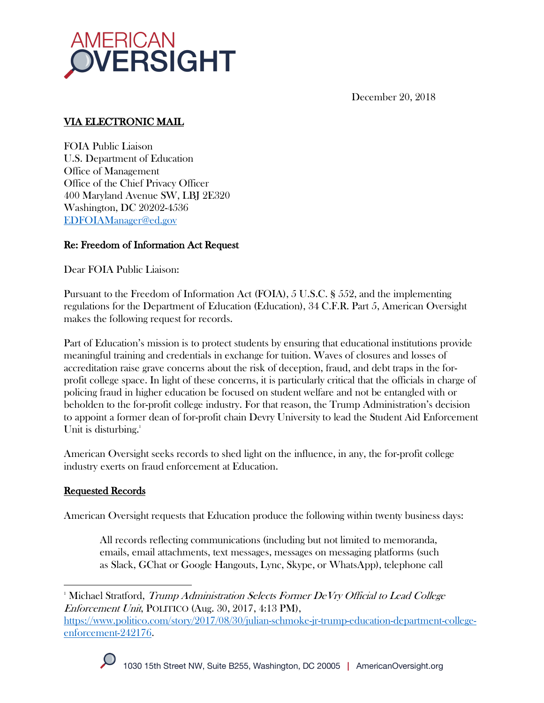

December 20, 2018

# VIA ELECTRONIC MAIL

FOIA Public Liaison U.S. Department of Education Office of Management Office of the Chief Privacy Officer 400 Maryland Avenue SW, LBJ 2E320 Washington, DC 20202-4536 EDFOIAManager@ed.gov

# Re: Freedom of Information Act Request

Dear FOIA Public Liaison:

Pursuant to the Freedom of Information Act (FOIA), 5 U.S.C. § 552, and the implementing regulations for the Department of Education (Education), 34 C.F.R. Part 5, American Oversight makes the following request for records.

Part of Education's mission is to protect students by ensuring that educational institutions provide meaningful training and credentials in exchange for tuition. Waves of closures and losses of accreditation raise grave concerns about the risk of deception, fraud, and debt traps in the forprofit college space. In light of these concerns, it is particularly critical that the officials in charge of policing fraud in higher education be focused on student welfare and not be entangled with or beholden to the for-profit college industry. For that reason, the Trump Administration's decision to appoint a former dean of for-profit chain Devry University to lead the Student Aid Enforcement Unit is disturbing.<sup>1</sup>

American Oversight seeks records to shed light on the influence, in any, the for-profit college industry exerts on fraud enforcement at Education.

### Requested Records

American Oversight requests that Education produce the following within twenty business days:

All records reflecting communications (including but not limited to memoranda, emails, email attachments, text messages, messages on messaging platforms (such as Slack, GChat or Google Hangouts, Lync, Skype, or WhatsApp), telephone call

https://www.politico.com/story/2017/08/30/julian-schmoke-jr-trump-education-department-collegeenforcement-242176.



<sup>&</sup>lt;sup>1</sup> Michael Stratford, Trump Administration Selects Former DeVry Official to Lead College Enforcement Unit, POLITICO (Aug. 30, 2017, 4:13 PM),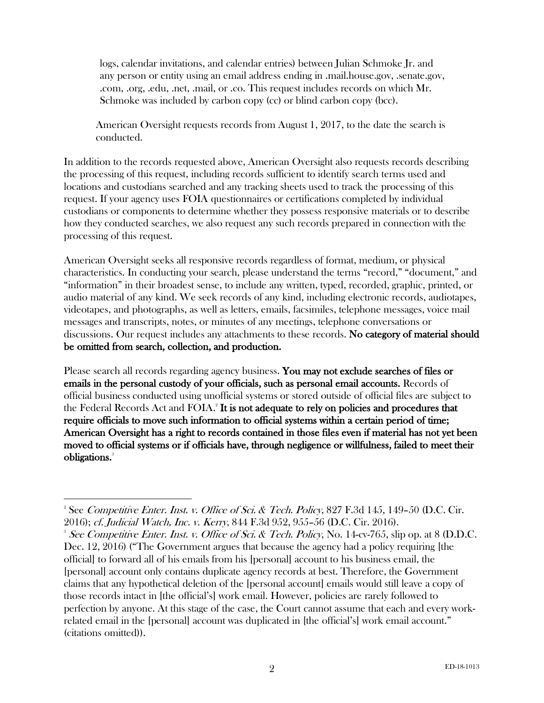logs, calendar invitations, and calendar entries) between Julian Schmoke Jr. and any person or entity using an email address ending in .mail.house.gov, .senate.gov, .com, .org, .edu, .net, .mail, or .co. This request includes records on which Mr. Schmoke was included by carbon copy (cc) or blind carbon copy (bcc).

American Oversight requests records from August 1, 2017, to the date the search is conducted.

In addition to the records requested above, American Oversight also requests records describing the processing of this request, including records sufficient to identify search terms used and locations and custodians searched and any tracking sheets used to track the processing of this request. If your agency uses FOIA questionnaires or certifications completed by individual custodians or components to determine whether they possess responsive materials or to describe how they conducted searches, we also request any such records prepared in connection with the processing of this request.

American Oversight seeks all responsive records regardless of format, medium, or physical characteristics. In conducting your search, please understand the terms "record," "document," and "information" in their broadest sense, to include any written, typed, recorded, graphic, printed, or audio material of any kind. We seek records of any kind, including electronic records, audiotapes, videotapes, and photographs, as well as letters, emails, facsimiles, telephone messages, voice mail messages and transcripts, notes, or minutes of any meetings, telephone conversations or discussions. Our request includes any attachments to these records. No category of material should be omitted from search, collection, and production.

Please search all records regarding agency business. You may not exclude searches of files or emails in the personal custody of your officials, such as personal email accounts. Records of official business conducted using unofficial systems or stored outside of official files are subject to the Federal Records Act and  $\rm FOLA.$ <sup>2</sup> It is not adequate to rely on policies and procedures that require officials to move such information to official systems within a certain period of time; American Oversight has a right to records contained in those files even if material has not yet been moved to official systems or if officials have, through negligence or willfulness, failed to meet their obligations.<sup>3</sup>

<sup>&</sup>lt;sup>2</sup> See Competitive Enter. Inst. v. Office of Sci. & Tech. Policy, 827 F.3d 145, 149–50 (D.C. Cir. 2016); cf. Judicial Watch, Inc. v. Kerry, 844 F.3d 952, 955–56 (D.C. Cir. 2016). 3

<sup>&</sup>lt;sup>3</sup> See Competitive Enter. Inst. v. Office of Sci. & Tech. Policy, No. 14-cv-765, slip op. at 8 (D.D.C. Dec. 12, 2016) ("The Government argues that because the agency had a policy requiring [the official] to forward all of his emails from his [personal] account to his business email, the [personal] account only contains duplicate agency records at best. Therefore, the Government claims that any hypothetical deletion of the [personal account] emails would still leave a copy of those records intact in [the official's] work email. However, policies are rarely followed to perfection by anyone. At this stage of the case, the Court cannot assume that each and every workrelated email in the [personal] account was duplicated in [the official's] work email account." (citations omitted)).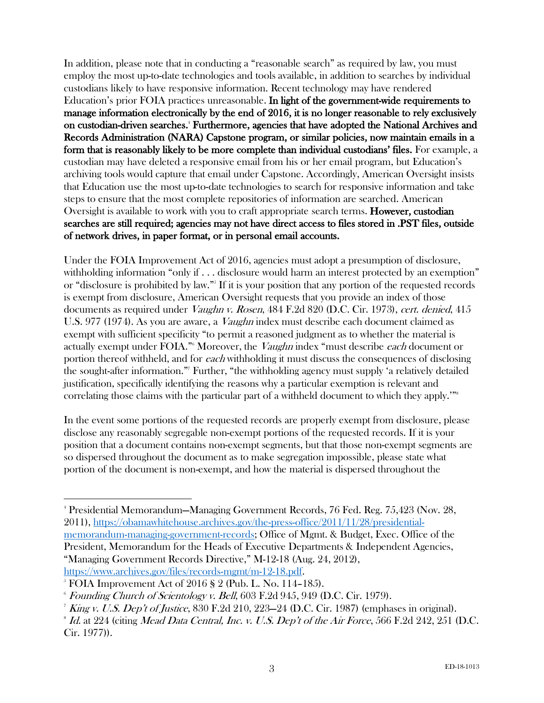In addition, please note that in conducting a "reasonable search" as required by law, you must employ the most up-to-date technologies and tools available, in addition to searches by individual custodians likely to have responsive information. Recent technology may have rendered Education's prior FOIA practices unreasonable. In light of the government-wide requirements to manage information electronically by the end of 2016, it is no longer reasonable to rely exclusively on custodian-driven searches.4 Furthermore, agencies that have adopted the National Archives and Records Administration (NARA) Capstone program, or similar policies, now maintain emails in a form that is reasonably likely to be more complete than individual custodians' files. For example, a custodian may have deleted a responsive email from his or her email program, but Education's archiving tools would capture that email under Capstone. Accordingly, American Oversight insists that Education use the most up-to-date technologies to search for responsive information and take steps to ensure that the most complete repositories of information are searched. American Oversight is available to work with you to craft appropriate search terms. **However, custodian** searches are still required; agencies may not have direct access to files stored in .PST files, outside of network drives, in paper format, or in personal email accounts.

Under the FOIA Improvement Act of 2016, agencies must adopt a presumption of disclosure, withholding information "only if . . . disclosure would harm an interest protected by an exemption" or "disclosure is prohibited by law."5 If it is your position that any portion of the requested records is exempt from disclosure, American Oversight requests that you provide an index of those documents as required under *Vaughn v. Rosen*, 484 F.2d 820 (D.C. Cir. 1973), cert. denied, 415 U.S. 977 (1974). As you are aware, a *Vaughn* index must describe each document claimed as exempt with sufficient specificity "to permit a reasoned judgment as to whether the material is actually exempt under FOIA."<sup>6</sup> Moreover, the *Vaughn* index "must describe each document or portion thereof withheld, and for each withholding it must discuss the consequences of disclosing the sought-after information."7 Further, "the withholding agency must supply 'a relatively detailed justification, specifically identifying the reasons why a particular exemption is relevant and correlating those claims with the particular part of a withheld document to which they apply."<sup>88</sup>

In the event some portions of the requested records are properly exempt from disclosure, please disclose any reasonably segregable non-exempt portions of the requested records. If it is your position that a document contains non-exempt segments, but that those non-exempt segments are so dispersed throughout the document as to make segregation impossible, please state what portion of the document is non-exempt, and how the material is dispersed throughout the

 <sup>4</sup> Presidential Memorandum—Managing Government Records, 76 Fed. Reg. 75,423 (Nov. 28, 2011), https://obamawhitehouse.archives.gov/the-press-office/2011/11/28/presidentialmemorandum-managing-government-records; Office of Mgmt. & Budget, Exec. Office of the President, Memorandum for the Heads of Executive Departments & Independent Agencies, "Managing Government Records Directive," M-12-18 (Aug. 24, 2012), https://www.archives.gov/files/records-mgmt/m-12-18.pdf. 5

 $\delta$  FOIA Improvement Act of 2016 § 2 (Pub. L. No. 114–185).

 $6$  Founding Church of Scientology v. Bell, 603 F.2d 945, 949 (D.C. Cir. 1979).

<sup>&</sup>lt;sup>7</sup> King v. U.S. Dep't of Justice, 830 F.2d 210, 223–24 (D.C. Cir. 1987) (emphases in original).

 $8$  Id. at 224 (citing Mead Data Central, Inc. v. U.S. Dep't of the Air Force, 566 F.2d 242, 251 (D.C. Cir. 1977)).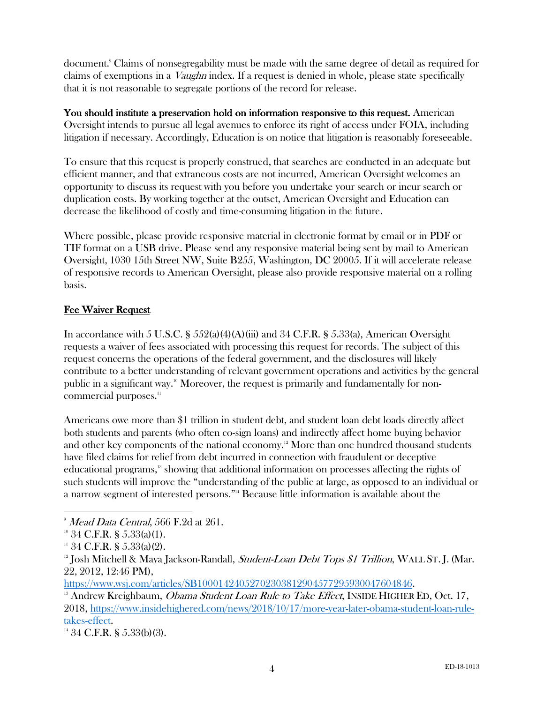document.9 Claims of nonsegregability must be made with the same degree of detail as required for claims of exemptions in a Vaughn index. If a request is denied in whole, please state specifically that it is not reasonable to segregate portions of the record for release.

You should institute a preservation hold on information responsive to this request. American Oversight intends to pursue all legal avenues to enforce its right of access under FOIA, including litigation if necessary. Accordingly, Education is on notice that litigation is reasonably foreseeable.

To ensure that this request is properly construed, that searches are conducted in an adequate but efficient manner, and that extraneous costs are not incurred, American Oversight welcomes an opportunity to discuss its request with you before you undertake your search or incur search or duplication costs. By working together at the outset, American Oversight and Education can decrease the likelihood of costly and time-consuming litigation in the future.

Where possible, please provide responsive material in electronic format by email or in PDF or TIF format on a USB drive. Please send any responsive material being sent by mail to American Oversight, 1030 15th Street NW, Suite B255, Washington, DC 20005. If it will accelerate release of responsive records to American Oversight, please also provide responsive material on a rolling basis.

# Fee Waiver Request

In accordance with 5 U.S.C.  $\S$  552(a)(4)(A)(iii) and 34 C.F.R.  $\S$  5.33(a), American Oversight requests a waiver of fees associated with processing this request for records. The subject of this request concerns the operations of the federal government, and the disclosures will likely contribute to a better understanding of relevant government operations and activities by the general public in a significant way.<sup>10</sup> Moreover, the request is primarily and fundamentally for noncommercial purposes.<sup>11</sup>

Americans owe more than \$1 trillion in student debt, and student loan debt loads directly affect both students and parents (who often co-sign loans) and indirectly affect home buying behavior and other key components of the national economy.<sup>12</sup> More than one hundred thousand students have filed claims for relief from debt incurred in connection with fraudulent or deceptive educational programs,13 showing that additional information on processes affecting the rights of such students will improve the "understanding of the public at large, as opposed to an individual or a narrow segment of interested persons."<sup>14</sup> Because little information is available about the

 $9$  Mead Data Central, 566 F.2d at 261.

 $10^{\circ}$  34 C.F.R. § 5.33(a)(1).

 $11$  34 C.F.R. § 5.33(a)(2).

 $12$  Josh Mitchell & Maya Jackson-Randall, *Student-Loan Debt Tops \$1 Trillion*, WALL ST. J. (Mar. 22, 2012, 12:46 PM),

https://www.wsj.com/articles/SB10001424052702303812904577295930047604846.<br><sup>13</sup> Andrew Kreighbaum, *Obama Student Loan Rule to Take Effect*, INSIDE HIGHER ED, Oct. 17, 2018, https://www.insidehighered.com/news/2018/10/17/more-year-later-obama-student-loan-rule- $\frac{\text{takes-effect.}}{14}$  34 C.F.R. § 5.33(b)(3).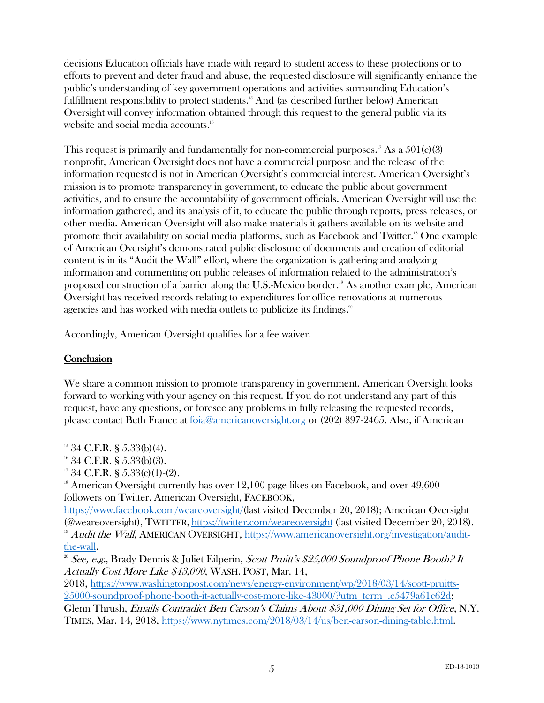decisions Education officials have made with regard to student access to these protections or to efforts to prevent and deter fraud and abuse, the requested disclosure will significantly enhance the public's understanding of key government operations and activities surrounding Education's fulfillment responsibility to protect students.<sup>15</sup> And (as described further below) American Oversight will convey information obtained through this request to the general public via its website and social media accounts.<sup>16</sup>

This request is primarily and fundamentally for non-commercial purposes.<sup>17</sup> As a  $501(c)(3)$ nonprofit, American Oversight does not have a commercial purpose and the release of the information requested is not in American Oversight's commercial interest. American Oversight's mission is to promote transparency in government, to educate the public about government activities, and to ensure the accountability of government officials. American Oversight will use the information gathered, and its analysis of it, to educate the public through reports, press releases, or other media. American Oversight will also make materials it gathers available on its website and promote their availability on social media platforms, such as Facebook and Twitter.<sup>18</sup> One example of American Oversight's demonstrated public disclosure of documents and creation of editorial content is in its "Audit the Wall" effort, where the organization is gathering and analyzing information and commenting on public releases of information related to the administration's proposed construction of a barrier along the U.S.-Mexico border.<sup>19</sup> As another example, American Oversight has received records relating to expenditures for office renovations at numerous agencies and has worked with media outlets to publicize its findings.<sup>20</sup>

Accordingly, American Oversight qualifies for a fee waiver.

### **Conclusion**

We share a common mission to promote transparency in government. American Oversight looks forward to working with your agency on this request. If you do not understand any part of this request, have any questions, or foresee any problems in fully releasing the requested records, please contact Beth France at foia@americanoversight.org or (202) 897-2465. Also, if American

 $15$  34 C.F.R. § 5.33(b)(4).

 $16$  34 C.F.R. § 5.33(b)(3).

 $17\,34$  C.F.R. § 5.33(c)(1)-(2).

 $18$  American Oversight currently has over 12,100 page likes on Facebook, and over 49,600 followers on Twitter. American Oversight, FACEBOOK,

https://www.facebook.com/weareoversight/(last visited December 20, 2018); American Oversight (@weareoversight), TWITTER, https://twitter.com/weareoversight (last visited December 20, 2018). <sup>19</sup> Audit the Wall, AMERICAN OVERSIGHT, https://www.americanoversight.org/investigation/auditthe-wall.

<sup>&</sup>lt;sup>20</sup> See, e.g., Brady Dennis & Juliet Eilperin, Scott Pruitt's \$25,000 Soundproof Phone Booth? It Actually Cost More Like \$43,000, WASH. POST, Mar. 14,

<sup>2018,</sup> https://www.washingtonpost.com/news/energy-environment/wp/2018/03/14/scott-pruitts-25000-soundproof-phone-booth-it-actually-cost-more-like-43000/?utm\_term=.c5479a61c62d;

Glenn Thrush, Emails Contradict Ben Carson's Claims About \$31,000 Dining Set for Office, N.Y. TIMES, Mar. 14, 2018, https://www.nytimes.com/2018/03/14/us/ben-carson-dining-table.html.